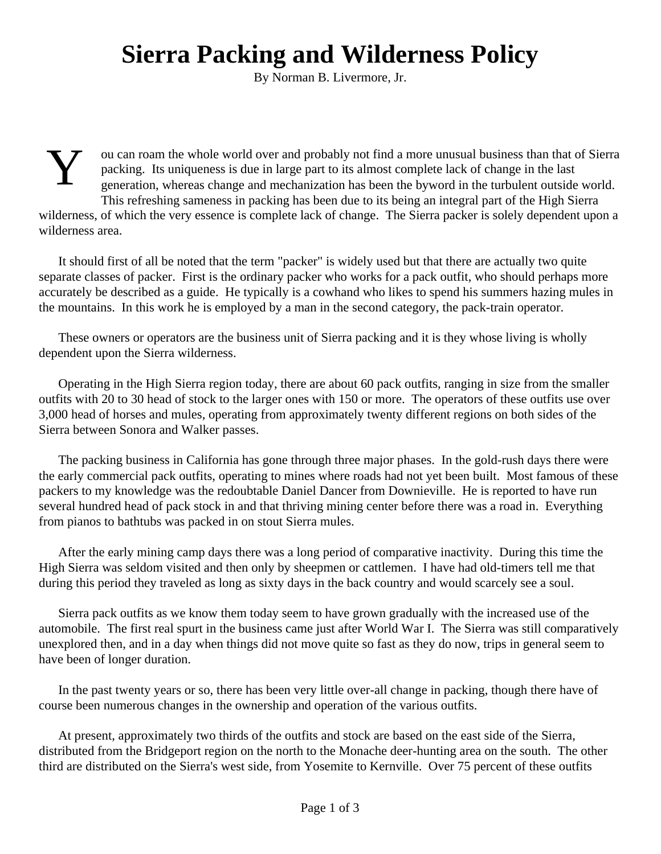## **Sierra Packing and Wilderness Policy**

By Norman B. Livermore, Jr.

Y ou can roam the whole world over and probably not find a more unusual business than that of Sierra packing. Its uniqueness is due in large part to its almost complete lack of change in the last generation, whereas change and mechanization has been the byword in the turbulent outside world. This refreshing sameness in packing has been due to its being an integral part of the High Sierra wilderness, of which the very essence is complete lack of change. The Sierra packer is solely dependent upon a wilderness area.

It should first of all be noted that the term "packer" is widely used but that there are actually two quite separate classes of packer. First is the ordinary packer who works for a pack outfit, who should perhaps more accurately be described as a guide. He typically is a cowhand who likes to spend his summers hazing mules in the mountains. In this work he is employed by a man in the second category, the pack-train operator.

These owners or operators are the business unit of Sierra packing and it is they whose living is wholly dependent upon the Sierra wilderness.

Operating in the High Sierra region today, there are about 60 pack outfits, ranging in size from the smaller outfits with 20 to 30 head of stock to the larger ones with 150 or more. The operators of these outfits use over 3,000 head of horses and mules, operating from approximately twenty different regions on both sides of the Sierra between Sonora and Walker passes.

The packing business in California has gone through three major phases. In the gold-rush days there were the early commercial pack outfits, operating to mines where roads had not yet been built. Most famous of these packers to my knowledge was the redoubtable Daniel Dancer from Downieville. He is reported to have run several hundred head of pack stock in and that thriving mining center before there was a road in. Everything from pianos to bathtubs was packed in on stout Sierra mules.

After the early mining camp days there was a long period of comparative inactivity. During this time the High Sierra was seldom visited and then only by sheepmen or cattlemen. I have had old-timers tell me that during this period they traveled as long as sixty days in the back country and would scarcely see a soul.

Sierra pack outfits as we know them today seem to have grown gradually with the increased use of the automobile. The first real spurt in the business came just after World War I. The Sierra was still comparatively unexplored then, and in a day when things did not move quite so fast as they do now, trips in general seem to have been of longer duration.

In the past twenty years or so, there has been very little over-all change in packing, though there have of course been numerous changes in the ownership and operation of the various outfits.

At present, approximately two thirds of the outfits and stock are based on the east side of the Sierra, distributed from the Bridgeport region on the north to the Monache deer-hunting area on the south. The other third are distributed on the Sierra's west side, from Yosemite to Kernville. Over 75 percent of these outfits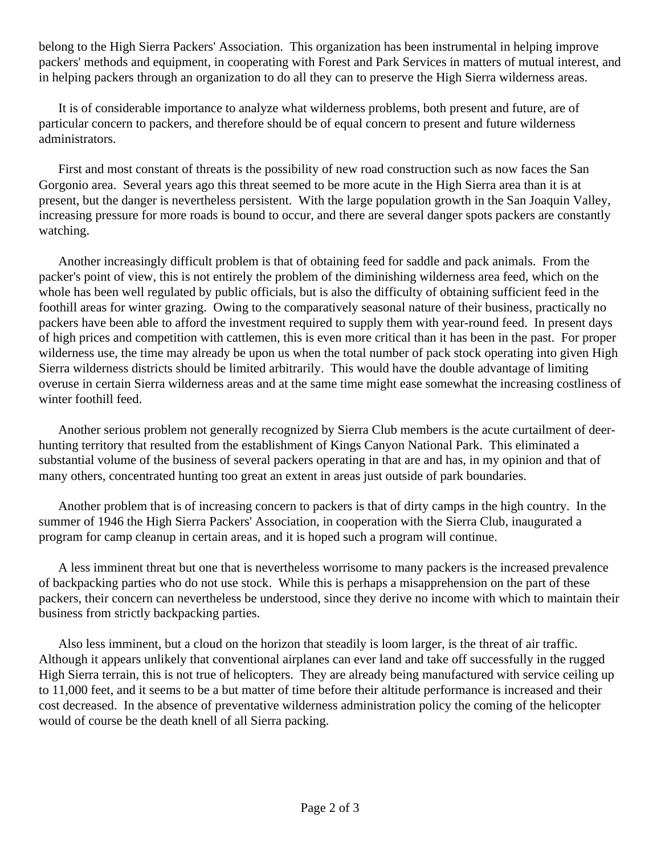belong to the High Sierra Packers' Association. This organization has been instrumental in helping improve packers' methods and equipment, in cooperating with Forest and Park Services in matters of mutual interest, and in helping packers through an organization to do all they can to preserve the High Sierra wilderness areas.

It is of considerable importance to analyze what wilderness problems, both present and future, are of particular concern to packers, and therefore should be of equal concern to present and future wilderness administrators.

First and most constant of threats is the possibility of new road construction such as now faces the San Gorgonio area. Several years ago this threat seemed to be more acute in the High Sierra area than it is at present, but the danger is nevertheless persistent. With the large population growth in the San Joaquin Valley, increasing pressure for more roads is bound to occur, and there are several danger spots packers are constantly watching.

Another increasingly difficult problem is that of obtaining feed for saddle and pack animals. From the packer's point of view, this is not entirely the problem of the diminishing wilderness area feed, which on the whole has been well regulated by public officials, but is also the difficulty of obtaining sufficient feed in the foothill areas for winter grazing. Owing to the comparatively seasonal nature of their business, practically no packers have been able to afford the investment required to supply them with year-round feed. In present days of high prices and competition with cattlemen, this is even more critical than it has been in the past. For proper wilderness use, the time may already be upon us when the total number of pack stock operating into given High Sierra wilderness districts should be limited arbitrarily. This would have the double advantage of limiting overuse in certain Sierra wilderness areas and at the same time might ease somewhat the increasing costliness of winter foothill feed.

Another serious problem not generally recognized by Sierra Club members is the acute curtailment of deerhunting territory that resulted from the establishment of Kings Canyon National Park. This eliminated a substantial volume of the business of several packers operating in that are and has, in my opinion and that of many others, concentrated hunting too great an extent in areas just outside of park boundaries.

Another problem that is of increasing concern to packers is that of dirty camps in the high country. In the summer of 1946 the High Sierra Packers' Association, in cooperation with the Sierra Club, inaugurated a program for camp cleanup in certain areas, and it is hoped such a program will continue.

A less imminent threat but one that is nevertheless worrisome to many packers is the increased prevalence of backpacking parties who do not use stock. While this is perhaps a misapprehension on the part of these packers, their concern can nevertheless be understood, since they derive no income with which to maintain their business from strictly backpacking parties.

Also less imminent, but a cloud on the horizon that steadily is loom larger, is the threat of air traffic. Although it appears unlikely that conventional airplanes can ever land and take off successfully in the rugged High Sierra terrain, this is not true of helicopters. They are already being manufactured with service ceiling up to 11,000 feet, and it seems to be a but matter of time before their altitude performance is increased and their cost decreased. In the absence of preventative wilderness administration policy the coming of the helicopter would of course be the death knell of all Sierra packing.